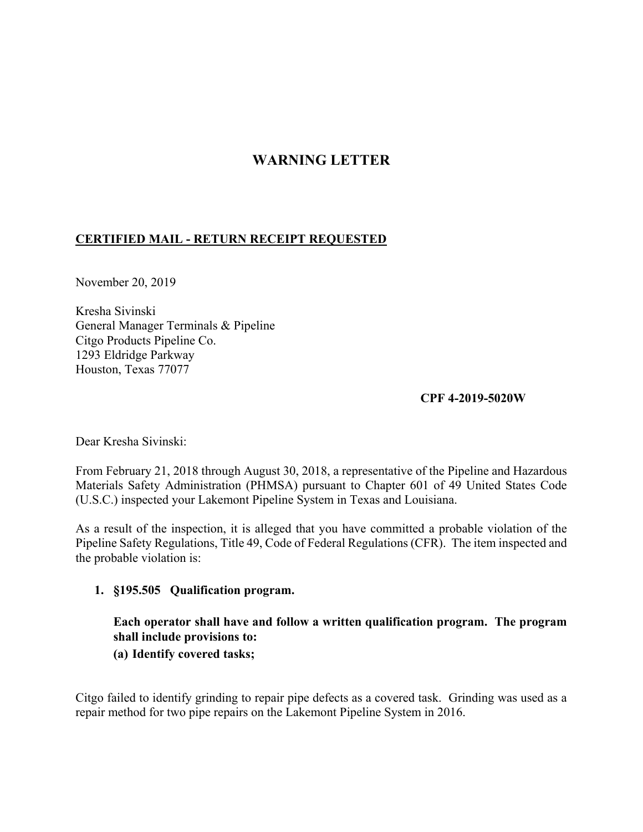# **WARNING LETTER**

## **CERTIFIED MAIL - RETURN RECEIPT REQUESTED**

November 20, 2019

Kresha Sivinski General Manager Terminals & Pipeline Citgo Products Pipeline Co. 1293 Eldridge Parkway Houston, Texas 77077

## **CPF 4-2019-5020W**

Dear Kresha Sivinski:

From February 21, 2018 through August 30, 2018, a representative of the Pipeline and Hazardous Materials Safety Administration (PHMSA) pursuant to Chapter 601 of 49 United States Code (U.S.C.) inspected your Lakemont Pipeline System in Texas and Louisiana.

As a result of the inspection, it is alleged that you have committed a probable violation of the Pipeline Safety Regulations, Title 49, Code of Federal Regulations (CFR). The item inspected and the probable violation is:

### **1. §195.505 Qualification program.**

**Each operator shall have and follow a written qualification program. The program shall include provisions to:** 

### **(a) Identify covered tasks;**

Citgo failed to identify grinding to repair pipe defects as a covered task. Grinding was used as a repair method for two pipe repairs on the Lakemont Pipeline System in 2016.